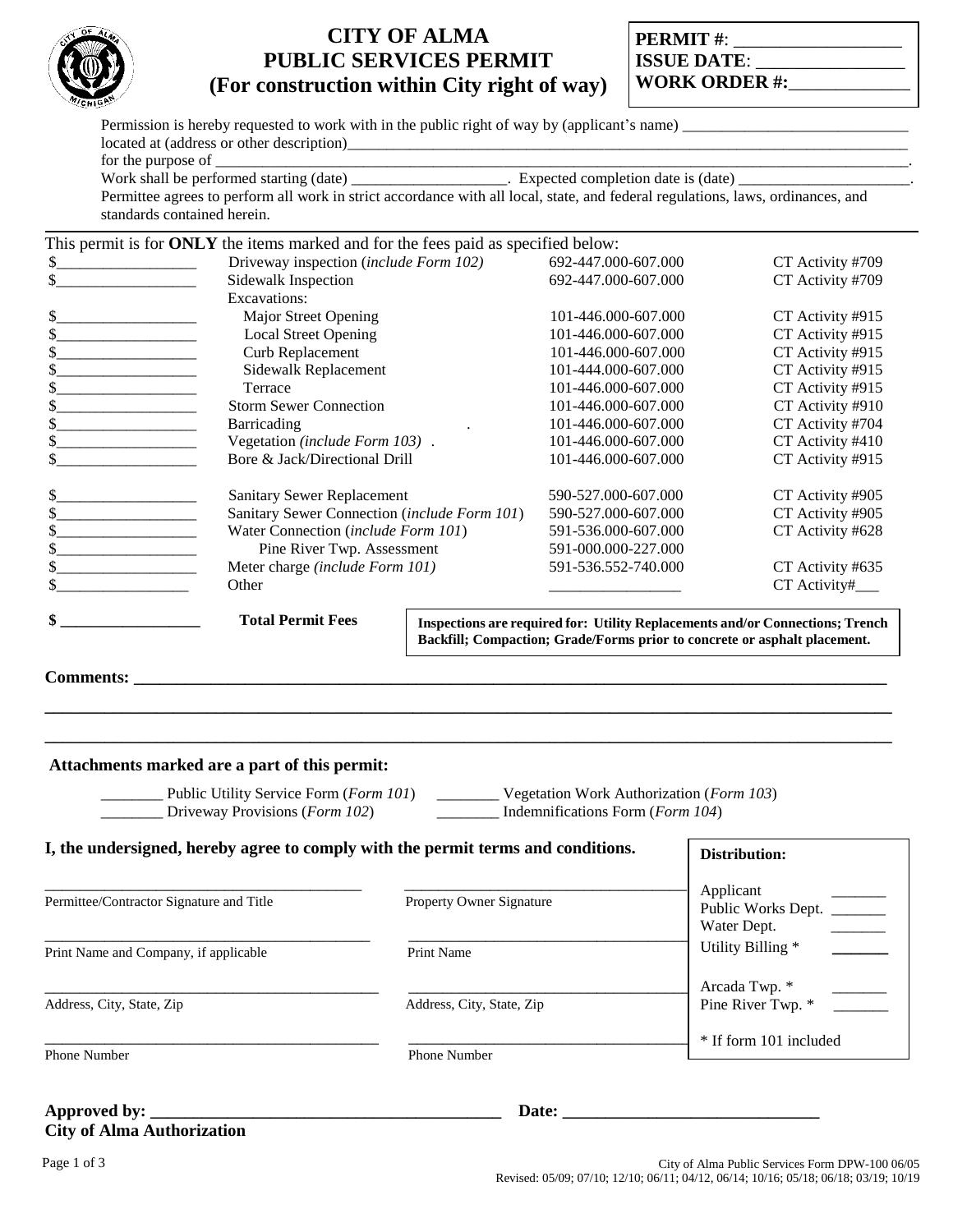

# **CITY OF ALMA PUBLIC SERVICES PERMIT (For construction within City right of way)**

| <b>PERMIT#:</b>      |  |
|----------------------|--|
| <b>ISSUE DATE:</b>   |  |
| <b>WORK ORDER #:</b> |  |

Permission is hereby requested to work with in the public right of way by (applicant's name) located at (address or other description)\_\_\_\_\_\_\_\_\_\_\_\_\_\_\_\_\_\_\_\_\_\_\_\_\_\_\_\_\_\_\_\_\_\_\_\_\_\_\_\_\_\_\_\_\_\_\_\_\_\_\_\_\_\_\_\_\_\_\_\_\_\_\_\_\_\_\_\_\_\_\_\_

for the purpose of  $\overline{\phantom{a} \phantom{a}}$ 

Work shall be performed starting (date) \_\_\_\_\_\_\_\_\_\_\_\_\_\_\_\_\_\_\_\_. Expected completion date is (date) \_\_\_\_\_\_\_\_\_\_\_\_\_\_\_\_\_\_\_\_\_\_.

Permittee agrees to perform all work in strict accordance with all local, state, and federal regulations, laws, ordinances, and standards contained herein.

| This permit is for <b>ONLY</b> the items marked and for the fees paid as specified below: |                                                                               |                  |
|-------------------------------------------------------------------------------------------|-------------------------------------------------------------------------------|------------------|
| Driveway inspection (include Form 102)                                                    | 692-447.000-607.000                                                           | CT Activity #709 |
| Sidewalk Inspection                                                                       | 692-447.000-607.000                                                           | CT Activity #709 |
| Excavations:                                                                              |                                                                               |                  |
| \$<br>Major Street Opening                                                                | 101-446.000-607.000                                                           | CT Activity #915 |
| <b>Local Street Opening</b>                                                               | 101-446.000-607.000                                                           | CT Activity #915 |
| Curb Replacement                                                                          | 101-446.000-607.000                                                           | CT Activity #915 |
| Sidewalk Replacement                                                                      | 101-444.000-607.000                                                           | CT Activity #915 |
| Terrace                                                                                   | 101-446.000-607.000                                                           | CT Activity #915 |
| <b>Storm Sewer Connection</b>                                                             | 101-446.000-607.000                                                           | CT Activity #910 |
| Barricading                                                                               | 101-446.000-607.000                                                           | CT Activity #704 |
| Vegetation (include Form 103).                                                            | 101-446.000-607.000                                                           | CT Activity #410 |
| Bore & Jack/Directional Drill                                                             | 101-446.000-607.000                                                           | CT Activity #915 |
| Sanitary Sewer Replacement                                                                | 590-527.000-607.000                                                           | CT Activity #905 |
| Sanitary Sewer Connection (include Form 101)                                              | 590-527.000-607.000                                                           | CT Activity #905 |
| Water Connection (include Form 101)                                                       | 591-536.000-607.000                                                           | CT Activity #628 |
| Pine River Twp. Assessment                                                                | 591-000.000-227.000                                                           |                  |
| Meter charge (include Form 101)                                                           | 591-536.552-740.000                                                           | CT Activity #635 |
| Other                                                                                     |                                                                               | CT Activity#___  |
| \$<br><b>Total Permit Fees</b>                                                            | Inspections are required for: Utility Replacements and/or Connections; Trench |                  |

**Backfill; Compaction; Grade/Forms prior to concrete or asphalt placement.**

**Comments: \_\_\_\_\_\_\_\_\_\_\_\_\_\_\_\_\_\_\_\_\_\_\_\_\_\_\_\_\_\_\_\_\_\_\_\_\_\_\_\_\_\_\_\_\_\_\_\_\_\_\_\_\_\_\_\_\_\_\_\_\_\_\_\_\_\_\_\_\_\_\_\_\_\_\_\_\_\_\_\_\_\_\_\_\_\_\_\_**

# **Attachments marked are a part of this permit:**

\_\_\_\_\_\_\_\_ Driveway Provisions (*Form 102*) \_\_\_\_\_\_\_\_ Indemnifications Form (*Form 104*)

\_\_\_\_\_\_\_\_ Public Utility Service Form (*Form 101*) \_\_\_\_\_\_\_\_ Vegetation Work Authorization (*Form 103*)

| I, the undersigned, hereby agree to comply with the permit terms and conditions. | Distribution:                   |                                                |
|----------------------------------------------------------------------------------|---------------------------------|------------------------------------------------|
| Permittee/Contractor Signature and Title                                         | <b>Property Owner Signature</b> | Applicant<br>Public Works Dept.<br>Water Dept. |
| Print Name and Company, if applicable                                            | Print Name                      | Utility Billing *                              |
| Address, City, State, Zip                                                        | Address, City, State, Zip       | Arcada Twp. *<br>Pine River Twp. *             |
| <b>Phone Number</b>                                                              | <b>Phone Number</b>             | * If form 101 included                         |

**\_\_\_\_\_\_\_\_\_\_\_\_\_\_\_\_\_\_\_\_\_\_\_\_\_\_\_\_\_\_\_\_\_\_\_\_\_\_\_\_\_\_\_\_\_\_\_\_\_\_\_\_\_\_\_\_\_\_\_\_\_\_\_\_\_\_\_\_\_\_\_\_\_\_\_\_\_\_\_\_\_\_\_\_\_\_\_\_\_\_\_\_\_\_\_\_\_\_\_ \_\_\_\_\_\_\_\_\_\_\_\_\_\_\_\_\_\_\_\_\_\_\_\_\_\_\_\_\_\_\_\_\_\_\_\_\_\_\_\_\_\_\_\_\_\_\_\_\_\_\_\_\_\_\_\_\_\_\_\_\_\_\_\_\_\_\_\_\_\_\_\_\_\_\_\_\_\_\_\_\_\_\_\_\_\_\_\_\_\_\_\_\_\_\_\_\_\_\_**

# **Approved by: \_\_\_\_\_\_\_\_\_\_\_\_\_\_\_\_\_\_\_\_\_\_\_\_\_\_\_\_\_\_\_\_\_\_\_\_\_\_\_\_\_ Date: \_\_\_\_\_\_\_\_\_\_\_\_\_\_\_\_\_\_\_\_\_\_\_\_\_\_\_\_\_\_ City of Alma Authorization**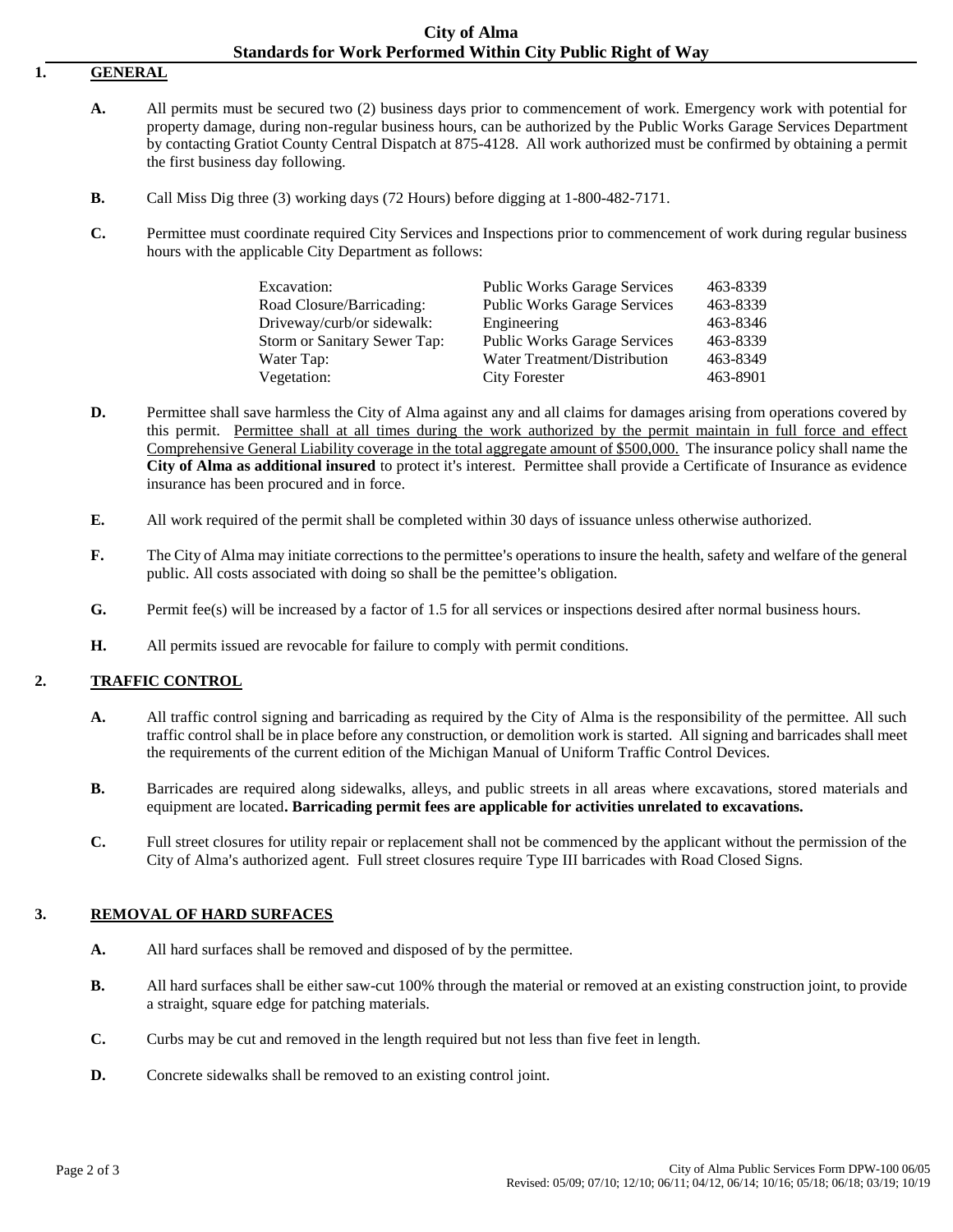#### **City of Alma Standards for Work Performed Within City Public Right of Way**

# **1. GENERAL**

- **A.** All permits must be secured two (2) business days prior to commencement of work. Emergency work with potential for property damage, during non-regular business hours, can be authorized by the Public Works Garage Services Department by contacting Gratiot County Central Dispatch at 875-4128. All work authorized must be confirmed by obtaining a permit the first business day following.
- **B.** Call Miss Dig three (3) working days (72 Hours) before digging at 1-800-482-7171.
- **C.** Permittee must coordinate required City Services and Inspections prior to commencement of work during regular business hours with the applicable City Department as follows:

| Excavation:                  | <b>Public Works Garage Services</b> | 463-8339 |
|------------------------------|-------------------------------------|----------|
|                              |                                     | 463-8339 |
| Road Closure/Barricading:    | <b>Public Works Garage Services</b> |          |
| Driveway/curb/or sidewalk:   | Engineering                         | 463-8346 |
| Storm or Sanitary Sewer Tap: | <b>Public Works Garage Services</b> | 463-8339 |
| Water Tap:                   | Water Treatment/Distribution        | 463-8349 |
| Vegetation:                  | <b>City Forester</b>                | 463-8901 |

- **D.** Permittee shall save harmless the City of Alma against any and all claims for damages arising from operations covered by this permit. Permittee shall at all times during the work authorized by the permit maintain in full force and effect Comprehensive General Liability coverage in the total aggregate amount of \$500,000. The insurance policy shall name the **City of Alma as additional insured** to protect it's interest. Permittee shall provide a Certificate of Insurance as evidence insurance has been procured and in force.
- **E.** All work required of the permit shall be completed within 30 days of issuance unless otherwise authorized.
- **F.** The City of Alma may initiate corrections to the permittee's operations to insure the health, safety and welfare of the general public. All costs associated with doing so shall be the pemittee's obligation.
- **G.** Permit fee(s) will be increased by a factor of 1.5 for all services or inspections desired after normal business hours.
- **H.** All permits issued are revocable for failure to comply with permit conditions.

#### **2. TRAFFIC CONTROL**

- **A.** All traffic control signing and barricading as required by the City of Alma is the responsibility of the permittee. All such traffic control shall be in place before any construction, or demolition work is started. All signing and barricades shall meet the requirements of the current edition of the Michigan Manual of Uniform Traffic Control Devices.
- **B.** Barricades are required along sidewalks, alleys, and public streets in all areas where excavations, stored materials and equipment are located**. Barricading permit fees are applicable for activities unrelated to excavations.**
- **C.** Full street closures for utility repair or replacement shall not be commenced by the applicant without the permission of the City of Alma's authorized agent. Full street closures require Type III barricades with Road Closed Signs.

#### **3. REMOVAL OF HARD SURFACES**

- **A.** All hard surfaces shall be removed and disposed of by the permittee.
- **B.** All hard surfaces shall be either saw-cut 100% through the material or removed at an existing construction joint, to provide a straight, square edge for patching materials.
- **C.** Curbs may be cut and removed in the length required but not less than five feet in length.
- **D.** Concrete sidewalks shall be removed to an existing control joint.